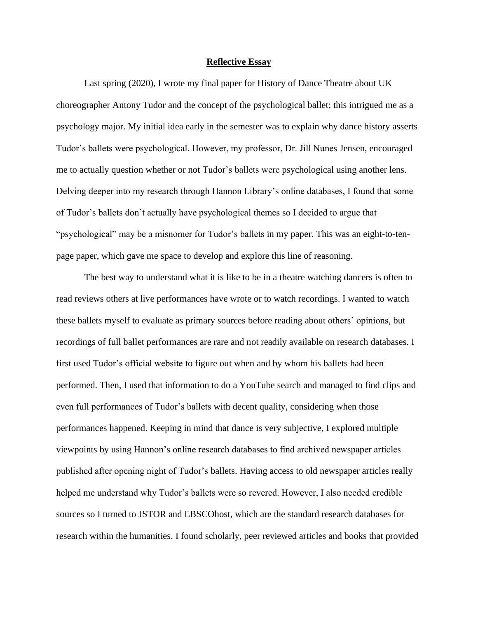## **Reflective Essay**

Last spring (2020), I wrote my final paper for History of Dance Theatre about UK choreographer Antony Tudor and the concept of the psychological ballet; this intrigued me as a psychology major. My initial idea early in the semester was to explain why dance history asserts Tudor's ballets were psychological. However, my professor, Dr. Jill Nunes Jensen, encouraged me to actually question whether or not Tudor's ballets were psychological using another lens. Delving deeper into my research through Hannon Library's online databases, I found that some of Tudor's ballets don't actually have psychological themes so I decided to argue that "psychological" may be a misnomer for Tudor's ballets in my paper. This was an eight-to-tenpage paper, which gave me space to develop and explore this line of reasoning.

The best way to understand what it is like to be in a theatre watching dancers is often to read reviews others at live performances have wrote or to watch recordings. I wanted to watch these ballets myself to evaluate as primary sources before reading about others' opinions, but recordings of full ballet performances are rare and not readily available on research databases. I first used Tudor's official website to figure out when and by whom his ballets had been performed. Then, I used that information to do a YouTube search and managed to find clips and even full performances of Tudor's ballets with decent quality, considering when those performances happened. Keeping in mind that dance is very subjective, I explored multiple viewpoints by using Hannon's online research databases to find archived newspaper articles published after opening night of Tudor's ballets. Having access to old newspaper articles really helped me understand why Tudor's ballets were so revered. However, I also needed credible sources so I turned to JSTOR and EBSCOhost, which are the standard research databases for research within the humanities. I found scholarly, peer reviewed articles and books that provided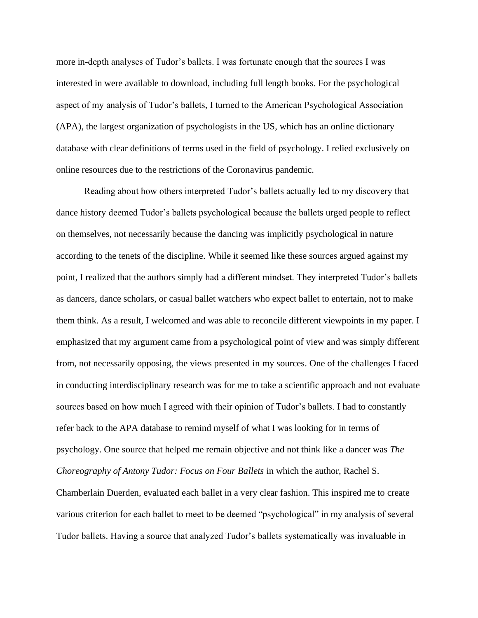more in-depth analyses of Tudor's ballets. I was fortunate enough that the sources I was interested in were available to download, including full length books. For the psychological aspect of my analysis of Tudor's ballets, I turned to the American Psychological Association (APA), the largest organization of psychologists in the US, which has an online dictionary database with clear definitions of terms used in the field of psychology. I relied exclusively on online resources due to the restrictions of the Coronavirus pandemic.

Reading about how others interpreted Tudor's ballets actually led to my discovery that dance history deemed Tudor's ballets psychological because the ballets urged people to reflect on themselves, not necessarily because the dancing was implicitly psychological in nature according to the tenets of the discipline. While it seemed like these sources argued against my point, I realized that the authors simply had a different mindset. They interpreted Tudor's ballets as dancers, dance scholars, or casual ballet watchers who expect ballet to entertain, not to make them think. As a result, I welcomed and was able to reconcile different viewpoints in my paper. I emphasized that my argument came from a psychological point of view and was simply different from, not necessarily opposing, the views presented in my sources. One of the challenges I faced in conducting interdisciplinary research was for me to take a scientific approach and not evaluate sources based on how much I agreed with their opinion of Tudor's ballets. I had to constantly refer back to the APA database to remind myself of what I was looking for in terms of psychology. One source that helped me remain objective and not think like a dancer was *The Choreography of Antony Tudor: Focus on Four Ballets* in which the author, Rachel S. Chamberlain Duerden, evaluated each ballet in a very clear fashion. This inspired me to create various criterion for each ballet to meet to be deemed "psychological" in my analysis of several

Tudor ballets. Having a source that analyzed Tudor's ballets systematically was invaluable in